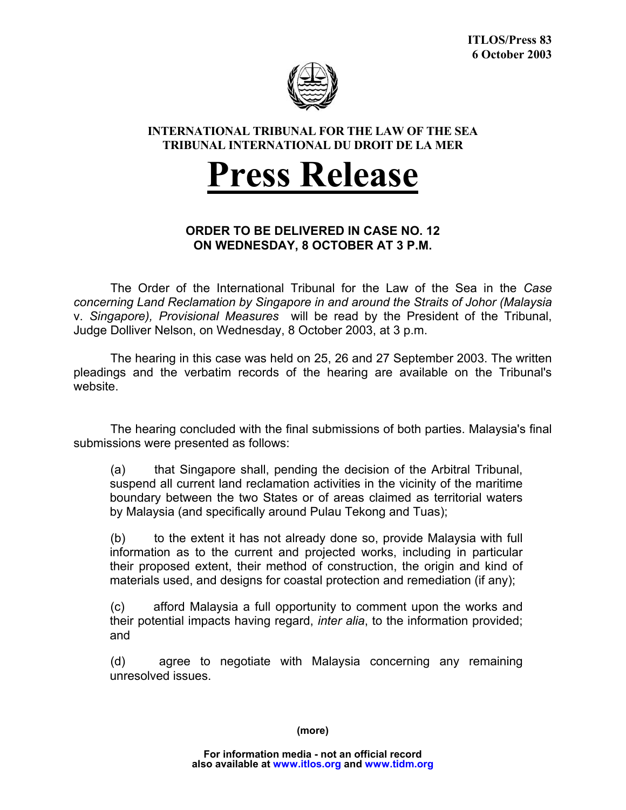

## **INTERNATIONAL TRIBUNAL FOR THE LAW OF THE SEA TRIBUNAL INTERNATIONAL DU DROIT DE LA MER**

## **Press Release**

## **ORDER TO BE DELIVERED IN CASE NO. 12 ON WEDNESDAY, 8 OCTOBER AT 3 P.M.**

The Order of the International Tribunal for the Law of the Sea in the *Case concerning Land Reclamation by Singapore in and around the Straits of Johor (Malaysia*  v. *Singapore), Provisional Measures* will be read by the President of the Tribunal, Judge Dolliver Nelson, on Wednesday, 8 October 2003, at 3 p.m.

The hearing in this case was held on 25, 26 and 27 September 2003. The written pleadings and the verbatim records of the hearing are available on the Tribunal's website.

The hearing concluded with the final submissions of both parties. Malaysia's final submissions were presented as follows:

(a) that Singapore shall, pending the decision of the Arbitral Tribunal, suspend all current land reclamation activities in the vicinity of the maritime boundary between the two States or of areas claimed as territorial waters by Malaysia (and specifically around Pulau Tekong and Tuas);

(b) to the extent it has not already done so, provide Malaysia with full information as to the current and projected works, including in particular their proposed extent, their method of construction, the origin and kind of materials used, and designs for coastal protection and remediation (if any);

(c) afford Malaysia a full opportunity to comment upon the works and their potential impacts having regard, *inter alia*, to the information provided; and

(d) agree to negotiate with Malaysia concerning any remaining unresolved issues.

**(more)**